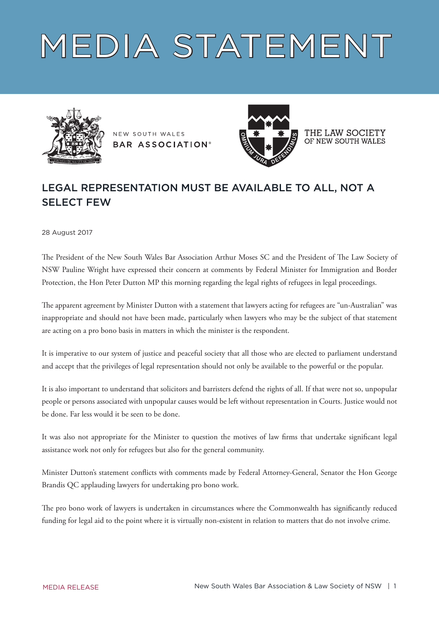## MEDIA STATEMENT



NEW SOUTH WALES **BAR ASSOCIATION®** 



THE LAW SOCIETY OF NEW SOUTH WALES

## LEGAL REPRESENTATION MUST BE AVAILABLE TO ALL, NOT A SELECT FEW

28 August 2017

The President of the New South Wales Bar Association Arthur Moses SC and the President of The Law Society of NSW Pauline Wright have expressed their concern at comments by Federal Minister for Immigration and Border Protection, the Hon Peter Dutton MP this morning regarding the legal rights of refugees in legal proceedings.

The apparent agreement by Minister Dutton with a statement that lawyers acting for refugees are "un-Australian" was inappropriate and should not have been made, particularly when lawyers who may be the subject of that statement are acting on a pro bono basis in matters in which the minister is the respondent.

It is imperative to our system of justice and peaceful society that all those who are elected to parliament understand and accept that the privileges of legal representation should not only be available to the powerful or the popular.

It is also important to understand that solicitors and barristers defend the rights of all. If that were not so, unpopular people or persons associated with unpopular causes would be left without representation in Courts. Justice would not be done. Far less would it be seen to be done.

It was also not appropriate for the Minister to question the motives of law firms that undertake significant legal assistance work not only for refugees but also for the general community.

Minister Dutton's statement conflicts with comments made by Federal Attorney-General, Senator the Hon George Brandis QC applauding lawyers for undertaking pro bono work.

The pro bono work of lawyers is undertaken in circumstances where the Commonwealth has significantly reduced funding for legal aid to the point where it is virtually non-existent in relation to matters that do not involve crime.